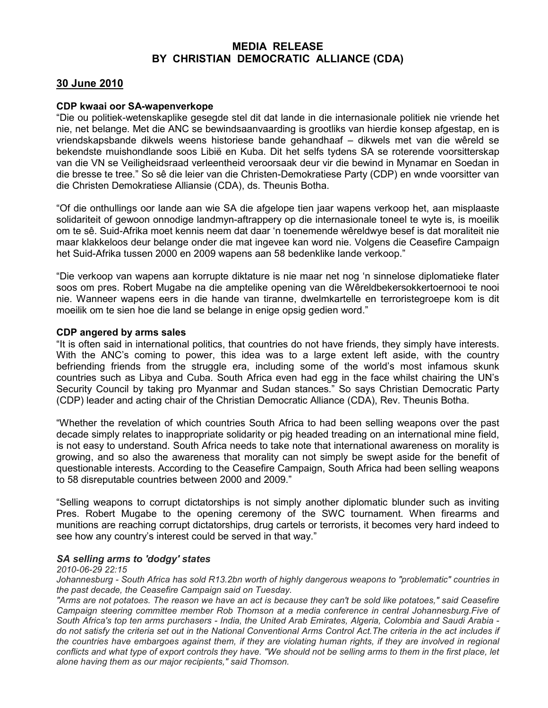## MEDIA RELEASE BY CHRISTIAN DEMOCRATIC ALLIANCE (CDA)

# 30 June 2010

### CDP kwaai oor SA-wapenverkope

"Die ou politiek-wetenskaplike gesegde stel dit dat lande in die internasionale politiek nie vriende het nie, net belange. Met die ANC se bewindsaanvaarding is grootliks van hierdie konsep afgestap, en is vriendskapsbande dikwels weens historiese bande gehandhaaf – dikwels met van die wêreld se bekendste muishondlande soos Libië en Kuba. Dit het selfs tydens SA se roterende voorsitterskap van die VN se Veiligheidsraad verleentheid veroorsaak deur vir die bewind in Mynamar en Soedan in die bresse te tree." So sê die leier van die Christen-Demokratiese Party (CDP) en wnde voorsitter van die Christen Demokratiese Alliansie (CDA), ds. Theunis Botha.

"Of die onthullings oor lande aan wie SA die afgelope tien jaar wapens verkoop het, aan misplaaste solidariteit of gewoon onnodige landmyn-aftrappery op die internasionale toneel te wyte is, is moeilik om te sê. Suid-Afrika moet kennis neem dat daar 'n toenemende wêreldwye besef is dat moraliteit nie maar klakkeloos deur belange onder die mat ingevee kan word nie. Volgens die Ceasefire Campaign het Suid-Afrika tussen 2000 en 2009 wapens aan 58 bedenklike lande verkoop."

"Die verkoop van wapens aan korrupte diktature is nie maar net nog 'n sinnelose diplomatieke flater soos om pres. Robert Mugabe na die amptelike opening van die Wêreldbekersokkertoernooi te nooi nie. Wanneer wapens eers in die hande van tiranne, dwelmkartelle en terroristegroepe kom is dit moeilik om te sien hoe die land se belange in enige opsig gedien word."

### CDP angered by arms sales

"It is often said in international politics, that countries do not have friends, they simply have interests. With the ANC's coming to power, this idea was to a large extent left aside, with the country befriending friends from the struggle era, including some of the world's most infamous skunk countries such as Libya and Cuba. South Africa even had egg in the face whilst chairing the UN's Security Council by taking pro Myanmar and Sudan stances." So says Christian Democratic Party (CDP) leader and acting chair of the Christian Democratic Alliance (CDA), Rev. Theunis Botha.

"Whether the revelation of which countries South Africa to had been selling weapons over the past decade simply relates to inappropriate solidarity or pig headed treading on an international mine field, is not easy to understand. South Africa needs to take note that international awareness on morality is growing, and so also the awareness that morality can not simply be swept aside for the benefit of questionable interests. According to the Ceasefire Campaign, South Africa had been selling weapons to 58 disreputable countries between 2000 and 2009."

"Selling weapons to corrupt dictatorships is not simply another diplomatic blunder such as inviting Pres. Robert Mugabe to the opening ceremony of the SWC tournament. When firearms and munitions are reaching corrupt dictatorships, drug cartels or terrorists, it becomes very hard indeed to see how any country's interest could be served in that way."

### SA selling arms to 'dodgy' states

*2010-06-29 22:15* 

*Johannesburg - South Africa has sold R13.2bn worth of highly dangerous weapons to "problematic" countries in the past decade, the Ceasefire Campaign said on Tuesday.* 

*"Arms are not potatoes. The reason we have an act is because they can't be sold like potatoes," said Ceasefire Campaign steering committee member Rob Thomson at a media conference in central Johannesburg.Five of South Africa's top ten arms purchasers - India, the United Arab Emirates, Algeria, Colombia and Saudi Arabia do not satisfy the criteria set out in the National Conventional Arms Control Act.The criteria in the act includes if*  the countries have embargoes against them, if they are violating human rights, if they are involved in regional *conflicts and what type of export controls they have. "We should not be selling arms to them in the first place, let alone having them as our major recipients," said Thomson.*